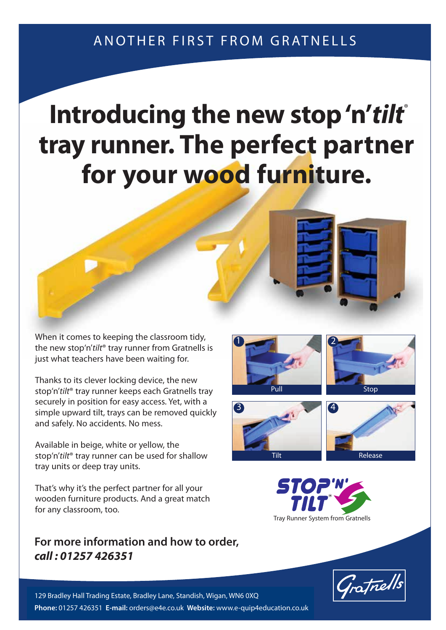## **Introducing the new stop 'n'tilt** ® **tray runner. The perfect partner for your wood furniture.**

When it comes to keeping the classroom tidy, the new stop'n'tilt<sup>®</sup> tray runner from Gratnells is just what teachers have been waiting for.

Thanks to its clever locking device, the new stop'n'tilt® tray runner keeps each Gratnells tray securely in position for easy access. Yet, with a simple upward tilt, trays can be removed quickly and safely. No accidents. No mess.

Available in beige, white or yellow, the stop'n'tilt® tray runner can be used for shallow tray units or deep tray units.

That's why it's the perfect partner for all your wooden furniture products. And a great match for any classroom, too.

## **For more information and how to order, For more information and how to order, call our free Gratline 0500 829406.** *call : 01257 426351*









Tray Runner System from Gratnells



129 Bradley Hall Trading Estate, Bradley Lane, Standish, Wigan, WN6 0XQ **T**: 0500 829406 **F**: 01279 419127 **E**:trays@gratnells.co.uk **W**:www.gratnells.co.uk **Phone:** 01257 426351 **E-mail:** orders@e4e.co.uk **Website:** www.e-quip4education.co.uk